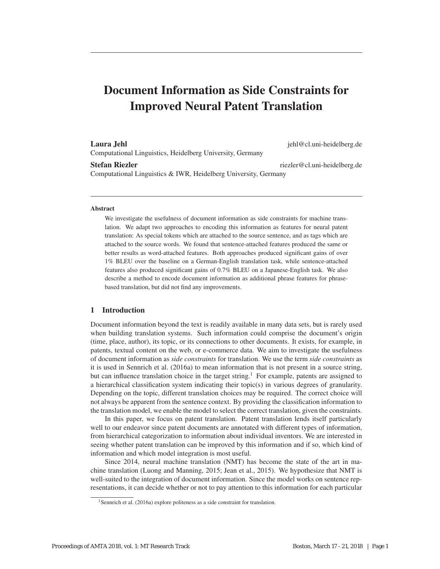# Document Information as Side Constraints for Improved Neural Patent Translation

### Laura Jehl jehl@cl.uni-heidelberg.de

Computational Linguistics, Heidelberg University, Germany

Stefan Riezler and Stefan Riezler riezler et al. et al. et al. et al. et al. et al. et al. et al. et al. et al. et al. et al. et al. et al. et al. et al. et al. et al. et al. et al. et al. et al. et al. et al. et al. et al

Computational Linguistics & IWR, Heidelberg University, Germany

## Abstract

We investigate the usefulness of document information as side constraints for machine translation. We adapt two approaches to encoding this information as features for neural patent translation: As special tokens which are attached to the source sentence, and as tags which are attached to the source words. We found that sentence-attached features produced the same or better results as word-attached features. Both approaches produced significant gains of over 1% BLEU over the baseline on a German-English translation task, while sentence-attached features also produced significant gains of 0.7% BLEU on a Japanese-English task. We also describe a method to encode document information as additional phrase features for phrasebased translation, but did not find any improvements.

### 1 Introduction

Document information beyond the text is readily available in many data sets, but is rarely used when building translation systems. Such information could comprise the document's origin (time, place, author), its topic, or its connections to other documents. It exists, for example, in patents, textual content on the web, or e-commerce data. We aim to investigate the usefulness of document information as *side constraints* for translation. We use the term *side constraints* as it is used in Sennrich et al. (2016a) to mean information that is not present in a source string, but can influence translation choice in the target string.<sup>1</sup> For example, patents are assigned to a hierarchical classification system indicating their topic(s) in various degrees of granularity. Depending on the topic, different translation choices may be required. The correct choice will not always be apparent from the sentence context. By providing the classification information to the translation model, we enable the model to select the correct translation, given the constraints.

In this paper, we focus on patent translation. Patent translation lends itself particularly well to our endeavor since patent documents are annotated with different types of information, from hierarchical categorization to information about individual inventors. We are interested in seeing whether patent translation can be improved by this information and if so, which kind of information and which model integration is most useful.

Since 2014, neural machine translation (NMT) has become the state of the art in machine translation (Luong and Manning, 2015; Jean et al., 2015). We hypothesize that NMT is well-suited to the integration of document information. Since the model works on sentence representations, it can decide whether or not to pay attention to this information for each particular

<sup>&</sup>lt;sup>1</sup>Sennrich et al. (2016a) explore politeness as a side constraint for translation.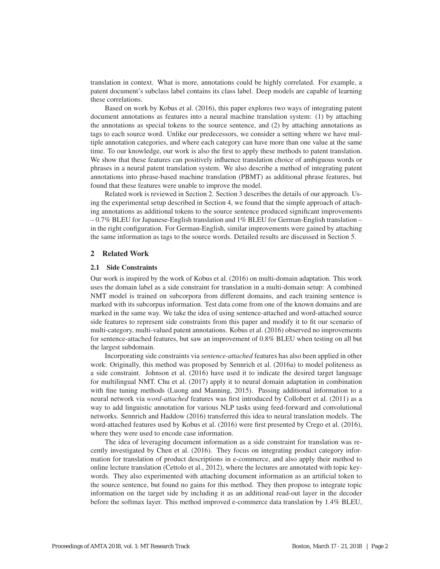translation in context. What is more, annotations could be highly correlated. For example, a patent document's subclass label contains its class label. Deep models are capable of learning these correlations.

Based on work by Kobus et al. (2016), this paper explores two ways of integrating patent document annotations as features into a neural machine translation system: (1) by attaching the annotations as special tokens to the source sentence, and  $(2)$  by attaching annotations as tags to each source word. Unlike our predecessors, we consider a setting where we have multiple annotation categories, and where each category can have more than one value at the same time. To our knowledge, our work is also the first to apply these methods to patent translation. We show that these features can positively influence translation choice of ambiguous words or phrases in a neural patent translation system. We also describe a method of integrating patent annotations into phrase-based machine translation (PBMT) as additional phrase features, but found that these features were unable to improve the model.

Related work is reviewed in Section 2. Section 3 describes the details of our approach. Using the experimental setup described in Section 4, we found that the simple approach of attaching annotations as additional tokens to the source sentence produced significant improvements – 0.7% BLEU for Japanese-English translation and 1% BLEU for German-English translation – in the right configuration. For German-English, similar improvements were gained by attaching the same information as tags to the source words. Detailed results are discussed in Section 5.

## 2 Related Work

#### 2.1 Side Constraints

Our work is inspired by the work of Kobus et al. (2016) on multi-domain adaptation. This work uses the domain label as a side constraint for translation in a multi-domain setup: A combined NMT model is trained on subcorpora from different domains, and each training sentence is marked with its subcorpus information. Test data come from one of the known domains and are marked in the same way. We take the idea of using sentence-attached and word-attached source side features to represent side constraints from this paper and modify it to fit our scenario of multi-category, multi-valued patent annotations. Kobus et al. (2016) observed no improvements for sentence-attached features, but saw an improvement of 0.8% BLEU when testing on all but the largest subdomain.

Incorporating side constraints via *sentence-attached* features has also been applied in other work: Originally, this method was proposed by Sennrich et al. (2016a) to model politeness as a side constraint. Johnson et al. (2016) have used it to indicate the desired target language for multilingual NMT. Chu et al. (2017) apply it to neural domain adaptation in combination with fine tuning methods (Luong and Manning, 2015). Passing additional information to a neural network via *word-attached* features was first introduced by Collobert et al. (2011) as a way to add linguistic annotation for various NLP tasks using feed-forward and convolutional networks. Sennrich and Haddow (2016) transferred this idea to neural translation models. The word-attached features used by Kobus et al. (2016) were first presented by Crego et al. (2016), where they were used to encode case information.

The idea of leveraging document information as a side constraint for translation was recently investigated by Chen et al. (2016). They focus on integrating product category information for translation of product descriptions in e-commerce, and also apply their method to online lecture translation (Cettolo et al., 2012), where the lectures are annotated with topic keywords. They also experimented with attaching document information as an artificial token to the source sentence, but found no gains for this method. They then propose to integrate topic information on the target side by including it as an additional read-out layer in the decoder before the softmax layer. This method improved e-commerce data translation by 1.4% BLEU,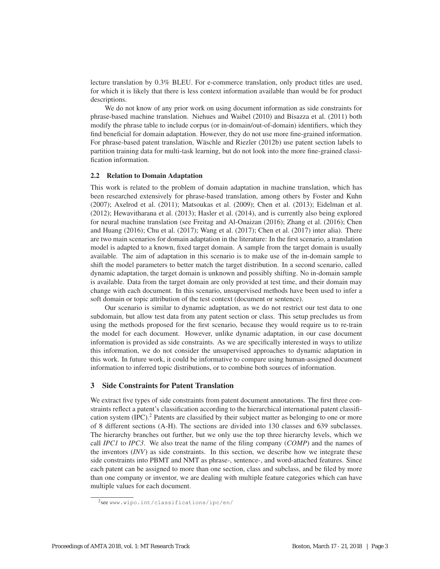lecture translation by 0.3% BLEU. For e-commerce translation, only product titles are used, for which it is likely that there is less context information available than would be for product descriptions.

We do not know of any prior work on using document information as side constraints for phrase-based machine translation. Niehues and Waibel (2010) and Bisazza et al. (2011) both modify the phrase table to include corpus (or in-domain/out-of-domain) identifiers, which they find beneficial for domain adaptation. However, they do not use more fine-grained information. For phrase-based patent translation, Wäschle and Riezler (2012b) use patent section labels to partition training data for multi-task learning, but do not look into the more fine-grained classification information.

#### 2.2 Relation to Domain Adaptation

This work is related to the problem of domain adaptation in machine translation, which has been researched extensively for phrase-based translation, among others by Foster and Kuhn (2007); Axelrod et al. (2011); Matsoukas et al. (2009); Chen et al. (2013); Eidelman et al. (2012); Hewavitharana et al. (2013); Hasler et al. (2014), and is currently also being explored for neural machine translation (see Freitag and Al-Onaizan (2016); Zhang et al. (2016); Chen and Huang (2016); Chu et al. (2017); Wang et al. (2017); Chen et al. (2017) inter alia). There are two main scenarios for domain adaptation in the literature: In the first scenario, a translation model is adapted to a known, fixed target domain. A sample from the target domain is usually available. The aim of adaptation in this scenario is to make use of the in-domain sample to shift the model parameters to better match the target distribution. In a second scenario, called dynamic adaptation, the target domain is unknown and possibly shifting. No in-domain sample is available. Data from the target domain are only provided at test time, and their domain may change with each document. In this scenario, unsupervised methods have been used to infer a soft domain or topic attribution of the test context (document or sentence).

Our scenario is similar to dynamic adaptation, as we do not restrict our test data to one subdomain, but allow test data from any patent section or class. This setup precludes us from using the methods proposed for the first scenario, because they would require us to re-train the model for each document. However, unlike dynamic adaptation, in our case document information is provided as side constraints. As we are specifically interested in ways to utilize this information, we do not consider the unsupervised approaches to dynamic adaptation in this work. In future work, it could be informative to compare using human-assigned document information to inferred topic distributions, or to combine both sources of information.

# 3 Side Constraints for Patent Translation

We extract five types of side constraints from patent document annotations. The first three constraints reflect a patent's classification according to the hierarchical international patent classification system (IPC).<sup>2</sup> Patents are classified by their subject matter as belonging to one or more of 8 different sections (A-H). The sections are divided into 130 classes and 639 subclasses. The hierarchy branches out further, but we only use the top three hierarchy levels, which we call *IPC1* to *IPC3*. We also treat the name of the filing company (*COMP*) and the names of the inventors (*INV*) as side constraints. In this section, we describe how we integrate these side constraints into PBMT and NMT as phrase-, sentence-, and word-attached features. Since each patent can be assigned to more than one section, class and subclass, and be filed by more than one company or inventor, we are dealing with multiple feature categories which can have multiple values for each document.

<sup>2</sup>see www.wipo.int/classifications/ipc/en/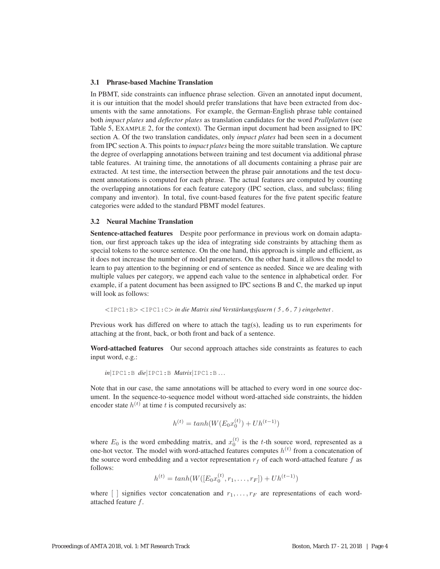# 3.1 Phrase-based Machine Translation

In PBMT, side constraints can influence phrase selection. Given an annotated input document, it is our intuition that the model should prefer translations that have been extracted from documents with the same annotations. For example, the German-English phrase table contained both *impact plates* and *deflector plates* as translation candidates for the word *Prallplatten* (see Table 5, EXAMPLE 2, for the context). The German input document had been assigned to IPC section A. Of the two translation candidates, only *impact plates* had been seen in a document from IPC section A. This points to *impact plates* being the more suitable translation. We capture the degree of overlapping annotations between training and test document via additional phrase table features. At training time, the annotations of all documents containing a phrase pair are extracted. At test time, the intersection between the phrase pair annotations and the test document annotations is computed for each phrase. The actual features are computed by counting the overlapping annotations for each feature category (IPC section, class, and subclass; filing company and inventor). In total, five count-based features for the five patent specific feature categories were added to the standard PBMT model features.

#### 3.2 Neural Machine Translation

Sentence-attached features Despite poor performance in previous work on domain adaptation, our first approach takes up the idea of integrating side constraints by attaching them as special tokens to the source sentence. On the one hand, this approach is simple and efficient, as it does not increase the number of model parameters. On the other hand, it allows the model to learn to pay attention to the beginning or end of sentence as needed. Since we are dealing with multiple values per category, we append each value to the sentence in alphabetical order. For example, if a patent document has been assigned to IPC sections B and C, the marked up input will look as follows:

$$
\langle
$$
IPCl : B>  $\langle$ IPCl : C> in die Matrix sind Verstärkungsfasern (5, 6, 7) eingebettet.

Previous work has differed on where to attach the tag(s), leading us to run experiments for attaching at the front, back, or both front and back of a sentence.

Word-attached features Our second approach attaches side constraints as features to each input word, e.g.:

*in*|IPC1:B *die*|IPC1:B *Matrix*|IPC1:B ...

Note that in our case, the same annotations will be attached to every word in one source document. In the sequence-to-sequence model without word-attached side constraints, the hidden encoder state  $h^{(t)}$  at time t is computed recursively as:

$$
h^{(t)} = \tanh(W(E_0 x_0^{(t)}) + Uh^{(t-1)})
$$

where  $E_0$  is the word embedding matrix, and  $x_0^{(t)}$  is the t-th source word, represented as a one-hot vector. The model with word-attached features computes  $h^{(t)}$  from a concatenation of the source word embedding and a vector representation  $r_f$  of each word-attached feature f as follows:

$$
h^{(t)} = \tanh(W([E_0 x_0^{(t)}, r_1, \dots, r_F]) + Uh^{(t-1)})
$$

where  $\lceil \rceil$  signifies vector concatenation and  $r_1, \ldots, r_F$  are representations of each wordattached feature f.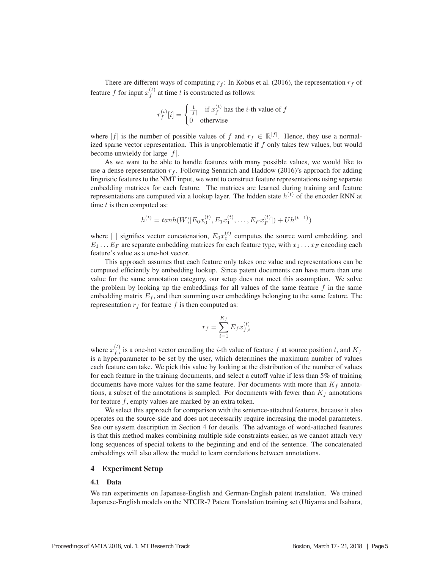There are different ways of computing  $r_f$ : In Kobus et al. (2016), the representation  $r_f$  of feature f for input  $x_f^{(t)}$  at time t is constructed as follows:

$$
r_f^{(t)}[i] = \begin{cases} \frac{1}{|f|} & \text{if } x_f^{(t)} \text{ has the } i\text{-th value of } f\\ 0 & \text{otherwise} \end{cases}
$$

where |f| is the number of possible values of f and  $r_f \in \mathbb{R}^{|f|}$ . Hence, they use a normalized sparse vector representation. This is unproblematic if  $f$  only takes few values, but would become unwieldy for large  $|f|$ .

As we want to be able to handle features with many possible values, we would like to use a dense representation  $r_f$ . Following Sennrich and Haddow (2016)'s approach for adding linguistic features to the NMT input, we want to construct feature representations using separate embedding matrices for each feature. The matrices are learned during training and feature representations are computed via a lookup layer. The hidden state  $h^{(t)}$  of the encoder RNN at time  $t$  is then computed as:

$$
h^{(t)} = \tanh(W([E_0 x_0^{(t)}, E_1 x_1^{(t)}, \dots, E_F x_F^{(t)}]) + Uh^{(t-1)})
$$

where  $\begin{bmatrix} \end{bmatrix}$  signifies vector concatenation,  $E_0 x_0^{(t)}$  computes the source word embedding, and  $F_1$ .  $\begin{bmatrix} F_n \end{bmatrix}$  are separate embedding matrices for each feature type, with  $x_i$ . To encoding each  $E_1 \ldots E_F$  are separate embedding matrices for each feature type, with  $x_1 \ldots x_F$  encoding each feature's value as a one-hot vector.

This approach assumes that each feature only takes one value and representations can be computed efficiently by embedding lookup. Since patent documents can have more than one value for the same annotation category, our setup does not meet this assumption. We solve the problem by looking up the embeddings for all values of the same feature  $f$  in the same embedding matrix  $E_f$ , and then summing over embeddings belonging to the same feature. The representation  $r_f$  for feature f is then computed as:

$$
r_f = \sum_{i=1}^{K_f} E_f x_{f,i}^{(t)}
$$

where  $x_{f,i}^{(t)}$  is a one-hot vector encoding the *i*-th value of feature f at source position t, and  $K_f$ is a hyperparameter to be set by the user, which determines the maximum number of values each feature can take. We pick this value by looking at the distribution of the number of values for each feature in the training documents, and select a cutoff value if less than 5% of training documents have more values for the same feature. For documents with more than  $K_f$  annotations, a subset of the annotations is sampled. For documents with fewer than  $K_f$  annotations for feature  $f$ , empty values are marked by an extra token.

We select this approach for comparison with the sentence-attached features, because it also operates on the source-side and does not necessarily require increasing the model parameters. See our system description in Section 4 for details. The advantage of word-attached features is that this method makes combining multiple side constraints easier, as we cannot attach very long sequences of special tokens to the beginning and end of the sentence. The concatenated embeddings will also allow the model to learn correlations between annotations.

#### 4 Experiment Setup

#### 4.1 Data

We ran experiments on Japanese-English and German-English patent translation. We trained Japanese-English models on the NTCIR-7 Patent Translation training set (Utiyama and Isahara,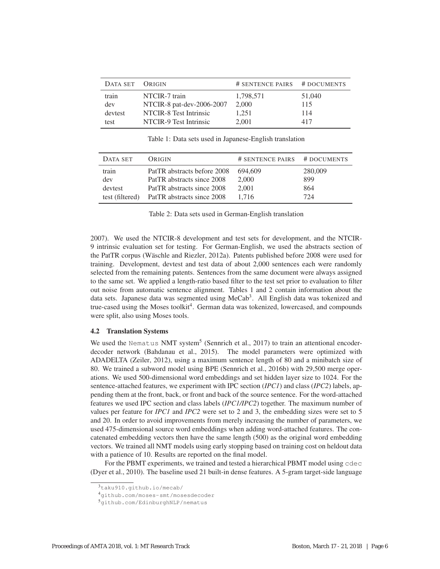| DATA SET | ORIGIN                    | # SENTENCE PAIRS # DOCUMENTS |        |
|----------|---------------------------|------------------------------|--------|
| train    | NTCIR-7 train             | 1,798,571                    | 51,040 |
| dev      | NTCIR-8 pat-dev-2006-2007 | 2,000                        | 115    |
| devtest  | NTCIR-8 Test Intrinsic    | 1,251                        | 114    |
| test     | NTCIR-9 Test Intrinsic    | 2.001                        | 417    |

Table 1: Data sets used in Japanese-English translation

| DATA SET        | ORIGIN                      | # SENTENCE PAIRS | # DOCUMENTS |
|-----------------|-----------------------------|------------------|-------------|
| train           | PatTR abstracts before 2008 | 694.609          | 280,009     |
| dev             | PatTR abstracts since 2008  | 2,000            | 899         |
| devtest         | PatTR abstracts since 2008  | 2,001            | 864         |
| test (filtered) | PatTR abstracts since 2008  | 1.716            | 724         |

Table 2: Data sets used in German-English translation

2007). We used the NTCIR-8 development and test sets for development, and the NTCIR-9 intrinsic evaluation set for testing. For German-English, we used the abstracts section of the PatTR corpus (Wäschle and Riezler, 2012a). Patents published before 2008 were used for training. Development, devtest and test data of about 2,000 sentences each were randomly selected from the remaining patents. Sentences from the same document were always assigned to the same set. We applied a length-ratio based filter to the test set prior to evaluation to filter out noise from automatic sentence alignment. Tables 1 and 2 contain information about the data sets. Japanese data was segmented using MeCab<sup>3</sup>. All English data was tokenized and true-cased using the Moses toolkit<sup>4</sup>. German data was tokenized, lowercased, and compounds were split, also using Moses tools.

#### 4.2 Translation Systems

We used the Nematus NMT system<sup>5</sup> (Sennrich et al., 2017) to train an attentional encoderdecoder network (Bahdanau et al., 2015). The model parameters were optimized with ADADELTA (Zeiler, 2012), using a maximum sentence length of 80 and a minibatch size of 80. We trained a subword model using BPE (Sennrich et al., 2016b) with 29,500 merge operations. We used 500-dimensional word embeddings and set hidden layer size to 1024. For the sentence-attached features, we experiment with IPC section (*IPC1*) and class (*IPC2*) labels, appending them at the front, back, or front and back of the source sentence. For the word-attached features we used IPC section and class labels (*IPC1/IPC2*) together. The maximum number of values per feature for *IPC1* and *IPC2* were set to 2 and 3, the embedding sizes were set to 5 and 20. In order to avoid improvements from merely increasing the number of parameters, we used 475-dimensional source word embeddings when adding word-attached features. The concatenated embedding vectors then have the same length (500) as the original word embedding vectors. We trained all NMT models using early stopping based on training cost on heldout data with a patience of 10. Results are reported on the final model.

For the PBMT experiments, we trained and tested a hierarchical PBMT model using cdec (Dyer et al., 2010). The baseline used 21 built-in dense features. A 5-gram target-side language

 $3t$ aku910.github.io/mecab/

<sup>4</sup>github.com/moses-smt/mosesdecoder

<sup>5</sup>github.com/EdinburghNLP/nematus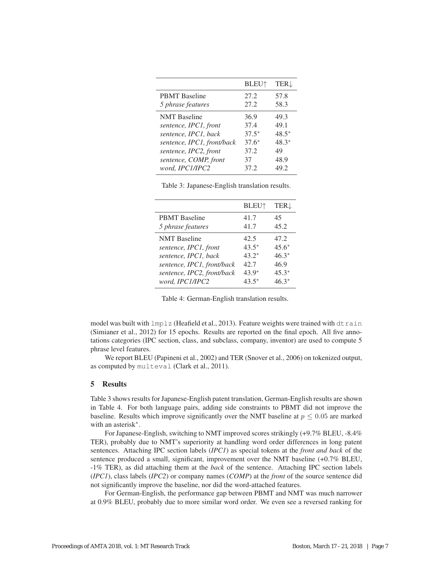|                            | <b>BLEU</b> <sup>1</sup> | <b>TER</b> |
|----------------------------|--------------------------|------------|
| <b>PBMT</b> Baseline       | 27.2                     | 57.8       |
| 5 phrase features          | 27.2                     | 58.3       |
| <b>NMT</b> Baseline        | 36.9                     | 49.3       |
| sentence, IPC1, front      | 37.4                     | 49.1       |
| sentence, IPC1, back       | $37.5*$                  | $48.5*$    |
| sentence, IPC1, front/back | $37.6*$                  | $48.3*$    |
| sentence, IPC2, front      | 37.2                     | 49         |
| sentence, COMP, front      | 37                       | 48.9       |
| word, IPC1/IPC2            | 37.2                     | 49.2       |

|  |  |  | Table 3: Japanese-English translation results. |  |
|--|--|--|------------------------------------------------|--|
|--|--|--|------------------------------------------------|--|

|                            | <b>BLEU</b> <sup>1</sup> | <b>TER</b> |
|----------------------------|--------------------------|------------|
| <b>PBMT</b> Baseline       | 41.7                     | 45         |
| 5 phrase features          | 41.7                     | 45.2       |
| <b>NMT</b> Baseline        | 42.5                     | 47.2       |
| sentence, IPC1, front      | $43.5*$                  | $45.6*$    |
| sentence, IPC1, back       | $43.2*$                  | $46.3*$    |
| sentence, IPC1, front/back | 42.7                     | 46.9       |
| sentence, IPC2, front/back | $43.9*$                  | $45.3*$    |
| word, IPC1/IPC2            | 43.5*                    | $46.3*$    |

Table 4: German-English translation results.

model was built with  $lmplz$  (Heafield et al., 2013). Feature weights were trained with  $dt$  rain (Simianer et al., 2012) for 15 epochs. Results are reported on the final epoch. All five annotations categories (IPC section, class, and subclass, company, inventor) are used to compute 5 phrase level features.

We report BLEU (Papineni et al., 2002) and TER (Snover et al., 2006) on tokenized output, as computed by multeval (Clark et al., 2011).

# 5 Results

Table 3 shows results for Japanese-English patent translation, German-English results are shown in Table 4. For both language pairs, adding side constraints to PBMT did not improve the baseline. Results which improve significantly over the NMT baseline at  $p \leq 0.05$  are marked with an asterisk<sup>\*</sup>.

For Japanese-English, switching to NMT improved scores strikingly (+9.7% BLEU, -8.4% TER), probably due to NMT's superiority at handling word order differences in long patent sentences. Attaching IPC section labels (*IPC1*) as special tokens at the *front and back* of the sentence produced a small, significant, improvement over the NMT baseline (+0.7% BLEU, -1% TER), as did attaching them at the *back* of the sentence. Attaching IPC section labels (*IPC1*), class labels (*IPC2*) or company names (*COMP*) at the *front* of the source sentence did not significantly improve the baseline, nor did the word-attached features.

For German-English, the performance gap between PBMT and NMT was much narrower at 0.9% BLEU, probably due to more similar word order. We even see a reversed ranking for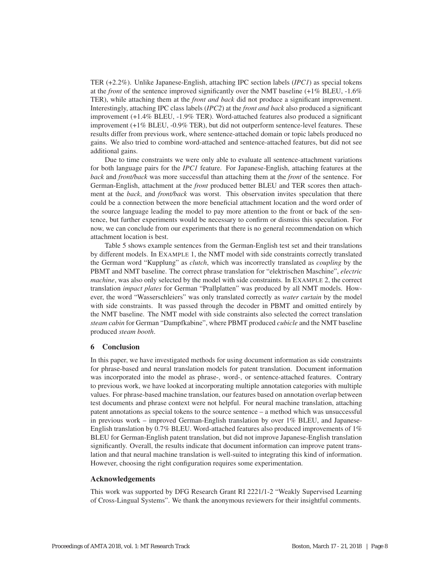TER (+2.2%). Unlike Japanese-English, attaching IPC section labels (*IPC1*) as special tokens at the *front* of the sentence improved significantly over the NMT baseline (+1% BLEU, -1.6% TER), while attaching them at the *front and back* did not produce a significant improvement. Interestingly, attaching IPC class labels (*IPC2*) at the *front and back* also produced a significant improvement (+1.4% BLEU, -1.9% TER). Word-attached features also produced a significant improvement (+1% BLEU, -0.9% TER), but did not outperform sentence-level features. These results differ from previous work, where sentence-attached domain or topic labels produced no gains. We also tried to combine word-attached and sentence-attached features, but did not see additional gains.

Due to time constraints we were only able to evaluate all sentence-attachment variations for both language pairs for the *IPC1* feature. For Japanese-English, attaching features at the *back* and *front/back* was more successful than attaching them at the *front* of the sentence. For German-English, attachment at the *front* produced better BLEU and TER scores then attachment at the *back*, and *front/back* was worst. This observation invites speculation that there could be a connection between the more beneficial attachment location and the word order of the source language leading the model to pay more attention to the front or back of the sentence, but further experiments would be necessary to confirm or dismiss this speculation. For now, we can conclude from our experiments that there is no general recommendation on which attachment location is best.

Table 5 shows example sentences from the German-English test set and their translations by different models. In EXAMPLE 1, the NMT model with side constraints correctly translated the German word "Kupplung" as *clutch*, which was incorrectly translated as *coupling* by the PBMT and NMT baseline. The correct phrase translation for "elektrischen Maschine", *electric machine*, was also only selected by the model with side constraints. In EXAMPLE 2, the correct translation *impact plates* for German "Prallplatten" was produced by all NMT models. However, the word "Wasserschleiers" was only translated correctly as *water curtain* by the model with side constraints. It was passed through the decoder in PBMT and omitted entirely by the NMT baseline. The NMT model with side constraints also selected the correct translation *steam cabin* for German "Dampfkabine", where PBMT produced *cubicle* and the NMT baseline produced *steam booth*.

# 6 Conclusion

In this paper, we have investigated methods for using document information as side constraints for phrase-based and neural translation models for patent translation. Document information was incorporated into the model as phrase-, word-, or sentence-attached features. Contrary to previous work, we have looked at incorporating multiple annotation categories with multiple values. For phrase-based machine translation, our features based on annotation overlap between test documents and phrase context were not helpful. For neural machine translation, attaching patent annotations as special tokens to the source sentence – a method which was unsuccessful in previous work – improved German-English translation by over 1% BLEU, and Japanese-English translation by 0.7% BLEU. Word-attached features also produced improvements of 1% BLEU for German-English patent translation, but did not improve Japanese-English translation significantly. Overall, the results indicate that document information can improve patent translation and that neural machine translation is well-suited to integrating this kind of information. However, choosing the right configuration requires some experimentation.

# Acknowledgements

This work was supported by DFG Research Grant RI 2221/1-2 "Weakly Supervised Learning of Cross-Lingual Systems". We thank the anonymous reviewers for their insightful comments.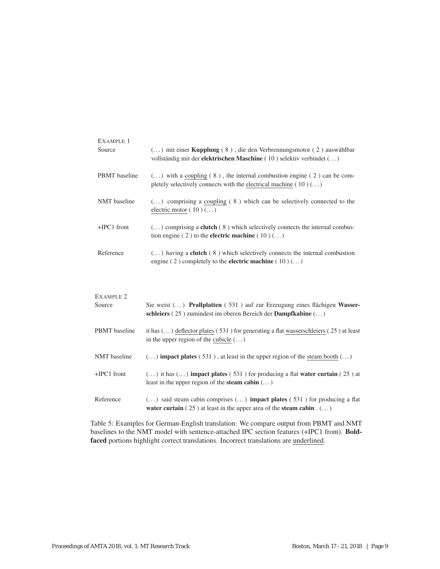| EXAMPLE 1            |                                                                                                                                                                         |
|----------------------|-------------------------------------------------------------------------------------------------------------------------------------------------------------------------|
| Source               | $(\dots)$ mit einer <b>Kupplung</b> (8), die den Verbrennungsmotor (2) auswählbar<br>vollständig mit der <b>elektrischen Maschine</b> (10) selektiv verbindet $(\dots)$ |
| <b>PBMT</b> baseline | $()$ with a coupling $(8)$ , the internal combustion engine $(2)$ can be com-<br>pletely selectively connects with the electrical machine $(10)()$                      |
| NMT baseline         | $(\dots)$ comprising a coupling (8) which can be selectively connected to the<br>electric motor $(10)()$                                                                |
| $+$ IPC1 front       | $(\dots)$ comprising a <b>clutch</b> (8) which selectively connects the internal combus-<br>tion engine (2) to the <b>electric machine</b> (10) $( \dots )$             |
| Reference            | $(\dots)$ having a <b>clutch</b> (8) which selectively connects the internal combustion<br>engine (2) completely to the <b>electric machine</b> (10) $(\dots)$          |

| Sie weist $(\dots)$ Prallplatten (531) auf zur Erzeugung eines flächigen Wasser-               |
|------------------------------------------------------------------------------------------------|
|                                                                                                |
|                                                                                                |
| it has $(\ldots)$ deflector plates (531) for generating a flat wasserschleiers (25) at least   |
|                                                                                                |
|                                                                                                |
| $(\dots)$ impact plates (531), at least in the upper region of the steam booth $(\dots)$       |
| $(\dots)$ it has $(\dots)$ impact plates (531) for producing a flat water curtain (25) at      |
|                                                                                                |
| $(\dots)$ said steam cabin comprises $(\dots)$ <b>impact plates</b> (531) for producing a flat |
|                                                                                                |
|                                                                                                |

Table 5: Examples for German-English translation: We compare output from PBMT and NMT baselines to the NMT model with sentence-attached IPC section features (+IPC1 front). Boldfaced portions highlight correct translations. Incorrect translations are underlined.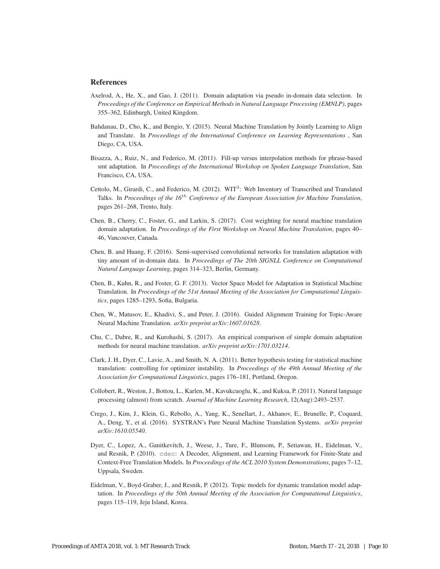#### **References**

- Axelrod, A., He, X., and Gao, J. (2011). Domain adaptation via pseudo in-domain data selection. In *Proceedings of the Conference on Empirical Methods in Natural Language Processing (EMNLP)*, pages 355–362, Edinburgh, United Kingdom.
- Bahdanau, D., Cho, K., and Bengio, Y. (2015). Neural Machine Translation by Jointly Learning to Align and Translate. In *Proceedings of the International Conference on Learning Representations* , San Diego, CA, USA.
- Bisazza, A., Ruiz, N., and Federico, M. (2011). Fill-up versus interpolation methods for phrase-based smt adaptation. In *Proceedings of the International Workshop on Spoken Language Translation*, San Francisco, CA, USA.
- Cettolo, M., Girardi, C., and Federico, M. (2012). WIT<sup>3</sup>: Web Inventory of Transcribed and Translated Talks. In *Proceedings of the 16*th *Conference of the European Association for Machine Translation*, pages 261–268, Trento, Italy.
- Chen, B., Cherry, C., Foster, G., and Larkin, S. (2017). Cost weighting for neural machine translation domain adaptation. In *Proceedings of the First Workshop on Neural Machine Translation*, pages 40– 46, Vancouver, Canada.
- Chen, B. and Huang, F. (2016). Semi-supervised convolutional networks for translation adaptation with tiny amount of in-domain data. In *Proceedings of The 20th SIGNLL Conference on Computational Natural Language Learning*, pages 314–323, Berlin, Germany.
- Chen, B., Kuhn, R., and Foster, G. F. (2013). Vector Space Model for Adaptation in Statistical Machine Translation. In *Proceedings of the 51st Annual Meeting of the Association for Computational Linguistics*, pages 1285–1293, Sofia, Bulgaria.
- Chen, W., Matusov, E., Khadivi, S., and Peter, J. (2016). Guided Alignment Training for Topic-Aware Neural Machine Translation. *arXiv preprint arXiv:1607.01628*.
- Chu, C., Dabre, R., and Kurohashi, S. (2017). An empirical comparison of simple domain adaptation methods for neural machine translation. *arXiv preprint arXiv:1701.03214*.
- Clark, J. H., Dyer, C., Lavie, A., and Smith, N. A. (2011). Better hypothesis testing for statistical machine translation: controlling for optimizer instability. In *Proceedings of the 49th Annual Meeting of the Association for Computational Linguistics*, pages 176–181, Portland, Oregon.
- Collobert, R., Weston, J., Bottou, L., Karlen, M., Kavukcuoglu, K., and Kuksa, P. (2011). Natural language processing (almost) from scratch. *Journal of Machine Learning Research*, 12(Aug):2493–2537.
- Crego, J., Kim, J., Klein, G., Rebollo, A., Yang, K., Senellart, J., Akhanov, E., Brunelle, P., Coquard, A., Deng, Y., et al. (2016). SYSTRAN's Pure Neural Machine Translation Systems. *arXiv preprint arXiv:1610.05540*.
- Dyer, C., Lopez, A., Ganitkevitch, J., Weese, J., Ture, F., Blunsom, P., Setiawan, H., Eidelman, V., and Resnik, P. (2010). cdec: A Decoder, Alignment, and Learning Framework for Finite-State and Context-Free Translation Models. In *Proceedings of the ACL 2010 System Demonstrations*, pages 7–12, Uppsala, Sweden.
- Eidelman, V., Boyd-Graber, J., and Resnik, P. (2012). Topic models for dynamic translation model adaptation. In *Proceedings of the 50th Annual Meeting of the Association for Computational Linguistics*, pages 115–119, Jeju Island, Korea.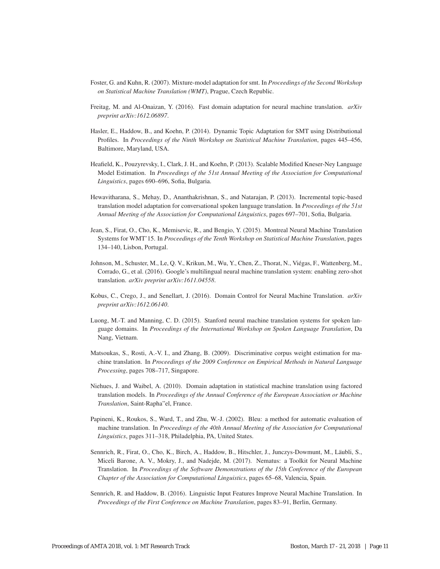- Foster, G. and Kuhn, R. (2007). Mixture-model adaptation for smt. In *Proceedings of the Second Workshop on Statistical Machine Translation (WMT)*, Prague, Czech Republic.
- Freitag, M. and Al-Onaizan, Y. (2016). Fast domain adaptation for neural machine translation. *arXiv preprint arXiv:1612.06897*.
- Hasler, E., Haddow, B., and Koehn, P. (2014). Dynamic Topic Adaptation for SMT using Distributional Profiles. In *Proceedings of the Ninth Workshop on Statistical Machine Translation*, pages 445–456, Baltimore, Maryland, USA.
- Heafield, K., Pouzyrevsky, I., Clark, J. H., and Koehn, P. (2013). Scalable Modified Kneser-Ney Language Model Estimation. In *Proceedings of the 51st Annual Meeting of the Association for Computational Linguistics*, pages 690–696, Sofia, Bulgaria.
- Hewavitharana, S., Mehay, D., Ananthakrishnan, S., and Natarajan, P. (2013). Incremental topic-based translation model adaptation for conversational spoken language translation. In *Proceedings of the 51st Annual Meeting of the Association for Computational Linguistics*, pages 697–701, Sofia, Bulgaria.
- Jean, S., Firat, O., Cho, K., Memisevic, R., and Bengio, Y. (2015). Montreal Neural Machine Translation Systems for WMT'15. In *Proceedings of the Tenth Workshop on Statistical Machine Translation*, pages 134–140, Lisbon, Portugal.
- Johnson, M., Schuster, M., Le, Q. V., Krikun, M., Wu, Y., Chen, Z., Thorat, N., Viegas, F., Wattenberg, M., ´ Corrado, G., et al. (2016). Google's multilingual neural machine translation system: enabling zero-shot translation. *arXiv preprint arXiv:1611.04558*.
- Kobus, C., Crego, J., and Senellart, J. (2016). Domain Control for Neural Machine Translation. *arXiv preprint arXiv:1612.06140*.
- Luong, M.-T. and Manning, C. D. (2015). Stanford neural machine translation systems for spoken language domains. In *Proceedings of the International Workshop on Spoken Language Translation*, Da Nang, Vietnam.
- Matsoukas, S., Rosti, A.-V. I., and Zhang, B. (2009). Discriminative corpus weight estimation for machine translation. In *Proceedings of the 2009 Conference on Empirical Methods in Natural Language Processing*, pages 708–717, Singapore.
- Niehues, J. and Waibel, A. (2010). Domain adaptation in statistical machine translation using factored translation models. In *Proceedings of the Annual Conference of the European Association or Machine Translation*, Saint-Rapha"el, France.
- Papineni, K., Roukos, S., Ward, T., and Zhu, W.-J. (2002). Bleu: a method for automatic evaluation of machine translation. In *Proceedings of the 40th Annual Meeting of the Association for Computational Linguistics*, pages 311–318, Philadelphia, PA, United States.
- Sennrich, R., Firat, O., Cho, K., Birch, A., Haddow, B., Hitschler, J., Junczys-Dowmunt, M., Laubli, S., ¨ Miceli Barone, A. V., Mokry, J., and Nadejde, M. (2017). Nematus: a Toolkit for Neural Machine Translation. In *Proceedings of the Software Demonstrations of the 15th Conference of the European Chapter of the Association for Computational Linguistics*, pages 65–68, Valencia, Spain.
- Sennrich, R. and Haddow, B. (2016). Linguistic Input Features Improve Neural Machine Translation. In *Proceedings of the First Conference on Machine Translation*, pages 83–91, Berlin, Germany.